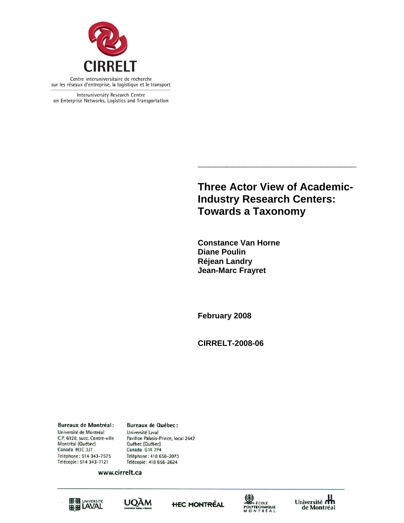

Interuniversity Research Centre on Enterprise Networks, Logistics and Transportation

> **Three Actor V View of A Academ mic-Industry Research Centers:** Towards a Taxonomy **the contrinse of Academinal**<br> **the carch Centers:**<br> **the contrinse of the contrinse of the contrinse of the contrinse of the contrinse of the contrinsical of the contri**<br> **t**

**\_\_\_\_\_\_\_**

**\_\_\_** 

**Constance Van Horne Diane P Poulin Réjean Landry Jean-Ma arc Frayret**

**\_\_\_\_\_\_\_\_**

**Februar ry 2008** 

**\_\_\_\_\_**

**CIRREL LT-2008-06**

**Bureaux de Montréal:** Université de Montréal C.P. 6128, succ. Centre-ville Montréal (Québec) Canada H3C 3J7 Téléphone: 514 343-7575 Télécopie: 514 343-7121

**Bureaux de Québec:** Université Laval Pavillon Palasis-Prince, local 2642 Québec (Québec) Canada G1K 7P4 Téléphone: 418 656-2073 Télécopie: 418 656-2624

www.cirrelt.ca









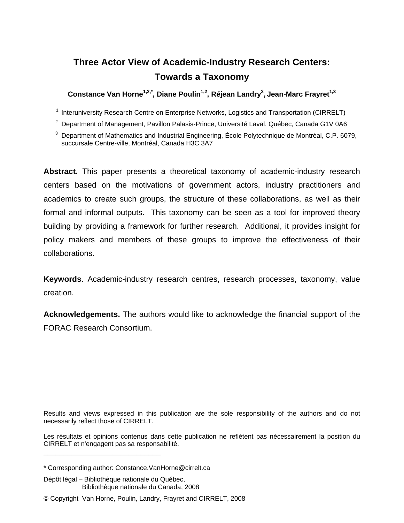# **Three Actor View of Academic-Industry Research Centers: Towards a Taxonomy**

**Constance Van Horne1,2,\*, Diane Poulin1,2, Réjean Landry2 , Jean-Marc Frayret1,3** 

<sup>1</sup> Interuniversity Research Centre on Enterprise Networks, Logistics and Transportation (CIRRELT)

2 Department of Management, Pavillon Palasis-Prince, Université Laval, Québec, Canada G1V 0A6

3 Department of Mathematics and Industrial Engineering, École Polytechnique de Montréal, C.P. 6079, succursale Centre-ville, Montréal, Canada H3C 3A7

**Abstract.** This paper presents a theoretical taxonomy of academic-industry research centers based on the motivations of government actors, industry practitioners and academics to create such groups, the structure of these collaborations, as well as their formal and informal outputs. This taxonomy can be seen as a tool for improved theory building by providing a framework for further research. Additional, it provides insight for policy makers and members of these groups to improve the effectiveness of their collaborations.

**Keywords**. Academic-industry research centres, research processes, taxonomy, value creation.

**Acknowledgements.** The authors would like to acknowledge the financial support of the FORAC Research Consortium.

Results and views expressed in this publication are the sole responsibility of the authors and do not necessarily reflect those of CIRRELT.

Les résultats et opinions contenus dans cette publication ne reflètent pas nécessairement la position du CIRRELT et n'engagent pas sa responsabilité.

**\_\_\_\_\_\_\_\_\_\_\_\_\_\_\_\_\_\_\_\_\_\_\_\_\_\_\_\_\_**

<sup>\*</sup> Corresponding author: Constance.VanHorne@cirrelt.ca

Dépôt légal – Bibliothèque nationale du Québec, Bibliothèque nationale du Canada, 2008

<sup>©</sup> Copyright Van Horne, Poulin, Landry, Frayret and CIRRELT, 2008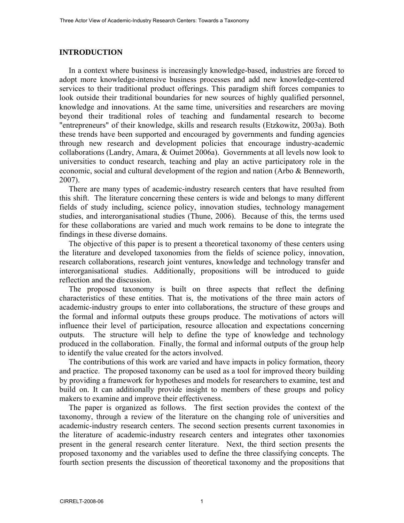# **INTRODUCTION**

In a context where business is increasingly knowledge-based, industries are forced to adopt more knowledge-intensive business processes and add new knowledge-centered services to their traditional product offerings. This paradigm shift forces companies to look outside their traditional boundaries for new sources of highly qualified personnel, knowledge and innovations. At the same time, universities and researchers are moving beyond their traditional roles of teaching and fundamental research to become "entrepreneurs" of their knowledge, skills and research results (Etzkowitz, 2003a). Both these trends have been supported and encouraged by governments and funding agencies through new research and development policies that encourage industry-academic collaborations (Landry, Amara, & Ouimet 2006a). Governments at all levels now look to universities to conduct research, teaching and play an active participatory role in the economic, social and cultural development of the region and nation (Arbo & Benneworth, 2007).

There are many types of academic-industry research centers that have resulted from this shift. The literature concerning these centers is wide and belongs to many different fields of study including, science policy, innovation studies, technology management studies, and interorganisational studies (Thune, 2006). Because of this, the terms used for these collaborations are varied and much work remains to be done to integrate the findings in these diverse domains.

The objective of this paper is to present a theoretical taxonomy of these centers using the literature and developed taxonomies from the fields of science policy, innovation, research collaborations, research joint ventures, knowledge and technology transfer and interorganisational studies. Additionally, propositions will be introduced to guide reflection and the discussion.

The proposed taxonomy is built on three aspects that reflect the defining characteristics of these entities. That is, the motivations of the three main actors of academic-industry groups to enter into collaborations, the structure of these groups and the formal and informal outputs these groups produce. The motivations of actors will influence their level of participation, resource allocation and expectations concerning outputs. The structure will help to define the type of knowledge and technology produced in the collaboration. Finally, the formal and informal outputs of the group help to identify the value created for the actors involved.

The contributions of this work are varied and have impacts in policy formation, theory and practice. The proposed taxonomy can be used as a tool for improved theory building by providing a framework for hypotheses and models for researchers to examine, test and build on. It can additionally provide insight to members of these groups and policy makers to examine and improve their effectiveness.

The paper is organized as follows. The first section provides the context of the taxonomy, through a review of the literature on the changing role of universities and academic-industry research centers. The second section presents current taxonomies in the literature of academic-industry research centers and integrates other taxonomies present in the general research center literature. Next, the third section presents the proposed taxonomy and the variables used to define the three classifying concepts. The fourth section presents the discussion of theoretical taxonomy and the propositions that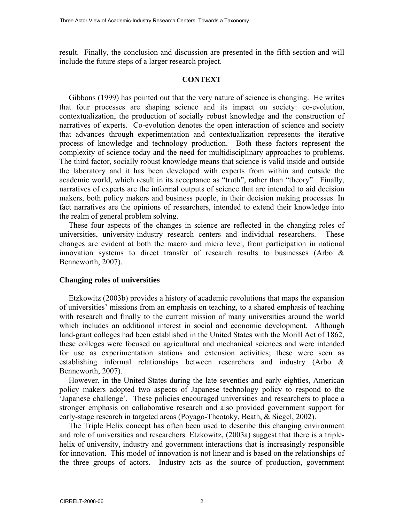result. Finally, the conclusion and discussion are presented in the fifth section and will include the future steps of a larger research project.

## **CONTEXT**

Gibbons (1999) has pointed out that the very nature of science is changing. He writes that four processes are shaping science and its impact on society: co-evolution, contextualization, the production of socially robust knowledge and the construction of narratives of experts. Co-evolution denotes the open interaction of science and society that advances through experimentation and contextualization represents the iterative process of knowledge and technology production. Both these factors represent the complexity of science today and the need for multidisciplinary approaches to problems. The third factor, socially robust knowledge means that science is valid inside and outside the laboratory and it has been developed with experts from within and outside the academic world, which result in its acceptance as "truth", rather than "theory". Finally, narratives of experts are the informal outputs of science that are intended to aid decision makers, both policy makers and business people, in their decision making processes. In fact narratives are the opinions of researchers, intended to extend their knowledge into the realm of general problem solving.

These four aspects of the changes in science are reflected in the changing roles of universities, university-industry research centers and individual researchers. These changes are evident at both the macro and micro level, from participation in national innovation systems to direct transfer of research results to businesses (Arbo & Benneworth, 2007).

## **Changing roles of universities**

Etzkowitz (2003b) provides a history of academic revolutions that maps the expansion of universities' missions from an emphasis on teaching, to a shared emphasis of teaching with research and finally to the current mission of many universities around the world which includes an additional interest in social and economic development. Although land-grant colleges had been established in the United States with the Morill Act of 1862, these colleges were focused on agricultural and mechanical sciences and were intended for use as experimentation stations and extension activities; these were seen as establishing informal relationships between researchers and industry (Arbo & Benneworth, 2007).

However, in the United States during the late seventies and early eighties, American policy makers adopted two aspects of Japanese technology policy to respond to the 'Japanese challenge'. These policies encouraged universities and researchers to place a stronger emphasis on collaborative research and also provided government support for early-stage research in targeted areas (Poyago-Theotoky, Beath, & Siegel, 2002).

The Triple Helix concept has often been used to describe this changing environment and role of universities and researchers. Etzkowitz, (2003a) suggest that there is a triplehelix of university, industry and government interactions that is increasingly responsible for innovation. This model of innovation is not linear and is based on the relationships of the three groups of actors. Industry acts as the source of production, government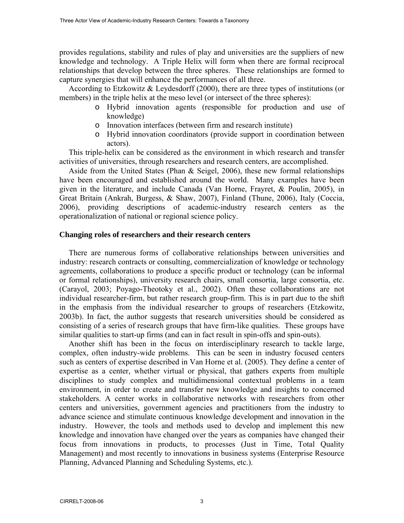provides regulations, stability and rules of play and universities are the suppliers of new knowledge and technology. A Triple Helix will form when there are formal reciprocal relationships that develop between the three spheres. These relationships are formed to capture synergies that will enhance the performances of all three.

According to Etzkowitz & Leydesdorff (2000), there are three types of institutions (or members) in the triple helix at the meso level (or intersect of the three spheres):

- o Hybrid innovation agents (responsible for production and use of knowledge)
- o Innovation interfaces (between firm and research institute)
- o Hybrid innovation coordinators (provide support in coordination between actors).

This triple-helix can be considered as the environment in which research and transfer activities of universities, through researchers and research centers, are accomplished.

Aside from the United States (Phan & Seigel, 2006), these new formal relationships have been encouraged and established around the world. Many examples have been given in the literature, and include Canada (Van Horne, Frayret, & Poulin, 2005), in Great Britain (Ankrah, Burgess, & Shaw, 2007), Finland (Thune, 2006), Italy (Coccia, 2006), providing descriptions of academic-industry research centers as the operationalization of national or regional science policy.

## **Changing roles of researchers and their research centers**

There are numerous forms of collaborative relationships between universities and industry: research contracts or consulting, commercialization of knowledge or technology agreements, collaborations to produce a specific product or technology (can be informal or formal relationships), university research chairs, small consortia, large consortia, etc. (Carayol, 2003; Poyago-Theotoky et al., 2002). Often these collaborations are not individual researcher-firm, but rather research group-firm. This is in part due to the shift in the emphasis from the individual researcher to groups of researchers (Etzkowitz, 2003b). In fact, the author suggests that research universities should be considered as consisting of a series of research groups that have firm-like qualities. These groups have similar qualities to start-up firms (and can in fact result in spin-offs and spin-outs).

Another shift has been in the focus on interdisciplinary research to tackle large, complex, often industry-wide problems. This can be seen in industry focused centers such as centers of expertise described in Van Horne et al. (2005). They define a center of expertise as a center, whether virtual or physical, that gathers experts from multiple disciplines to study complex and multidimensional contextual problems in a team environment, in order to create and transfer new knowledge and insights to concerned stakeholders. A center works in collaborative networks with researchers from other centers and universities, government agencies and practitioners from the industry to advance science and stimulate continuous knowledge development and innovation in the industry. However, the tools and methods used to develop and implement this new knowledge and innovation have changed over the years as companies have changed their focus from innovations in products, to processes (Just in Time, Total Quality Management) and most recently to innovations in business systems (Enterprise Resource Planning, Advanced Planning and Scheduling Systems, etc.).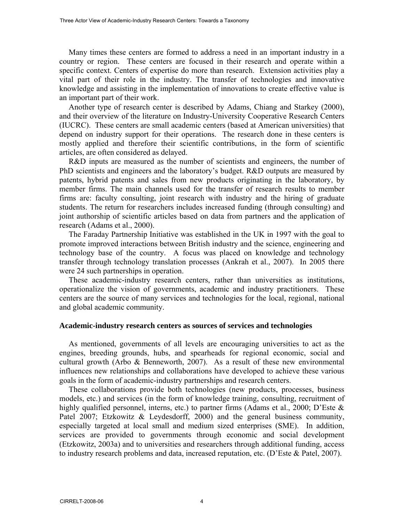Many times these centers are formed to address a need in an important industry in a country or region. These centers are focused in their research and operate within a specific context. Centers of expertise do more than research. Extension activities play a vital part of their role in the industry. The transfer of technologies and innovative knowledge and assisting in the implementation of innovations to create effective value is an important part of their work.

Another type of research center is described by Adams, Chiang and Starkey (2000), and their overview of the literature on Industry-University Cooperative Research Centers (IUCRC). These centers are small academic centers (based at American universities) that depend on industry support for their operations. The research done in these centers is mostly applied and therefore their scientific contributions, in the form of scientific articles, are often considered as delayed.

R&D inputs are measured as the number of scientists and engineers, the number of PhD scientists and engineers and the laboratory's budget. R&D outputs are measured by patents, hybrid patents and sales from new products originating in the laboratory, by member firms. The main channels used for the transfer of research results to member firms are: faculty consulting, joint research with industry and the hiring of graduate students. The return for researchers includes increased funding (through consulting) and joint authorship of scientific articles based on data from partners and the application of research (Adams et al., 2000).

The Faraday Partnership Initiative was established in the UK in 1997 with the goal to promote improved interactions between British industry and the science, engineering and technology base of the country. A focus was placed on knowledge and technology transfer through technology translation processes (Ankrah et al., 2007). In 2005 there were 24 such partnerships in operation.

These academic-industry research centers, rather than universities as institutions, operationalize the vision of governments, academic and industry practitioners. These centers are the source of many services and technologies for the local, regional, national and global academic community.

#### **Academic-industry research centers as sources of services and technologies**

As mentioned, governments of all levels are encouraging universities to act as the engines, breeding grounds, hubs, and spearheads for regional economic, social and cultural growth (Arbo & Benneworth, 2007). As a result of these new environmental influences new relationships and collaborations have developed to achieve these various goals in the form of academic-industry partnerships and research centers.

These collaborations provide both technologies (new products, processes, business models, etc.) and services (in the form of knowledge training, consulting, recruitment of highly qualified personnel, interns, etc.) to partner firms (Adams et al., 2000; D'Este & Patel 2007; Etzkowitz & Leydesdorff, 2000) and the general business community, especially targeted at local small and medium sized enterprises (SME). In addition, services are provided to governments through economic and social development (Etzkowitz, 2003a) and to universities and researchers through additional funding, access to industry research problems and data, increased reputation, etc. (D'Este & Patel, 2007).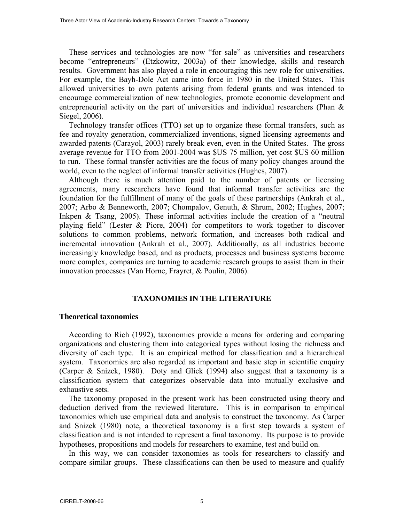These services and technologies are now "for sale" as universities and researchers become "entrepreneurs" (Etzkowitz, 2003a) of their knowledge, skills and research results. Government has also played a role in encouraging this new role for universities. For example, the Bayh-Dole Act came into force in 1980 in the United States. This allowed universities to own patents arising from federal grants and was intended to encourage commercialization of new technologies, promote economic development and entrepreneurial activity on the part of universities and individual researchers (Phan & Siegel, 2006).

Technology transfer offices (TTO) set up to organize these formal transfers, such as fee and royalty generation, commercialized inventions, signed licensing agreements and awarded patents (Carayol, 2003) rarely break even, even in the United States. The gross average revenue for TTO from 2001-2004 was \$US 75 million, yet cost \$US 60 million to run. These formal transfer activities are the focus of many policy changes around the world, even to the neglect of informal transfer activities (Hughes, 2007).

Although there is much attention paid to the number of patents or licensing agreements, many researchers have found that informal transfer activities are the foundation for the fulfillment of many of the goals of these partnerships (Ankrah et al., 2007; Arbo & Benneworth, 2007; Chompalov, Genuth, & Shrum, 2002; Hughes, 2007; Inkpen & Tsang, 2005). These informal activities include the creation of a "neutral" playing field" (Lester & Piore, 2004) for competitors to work together to discover solutions to common problems, network formation, and increases both radical and incremental innovation (Ankrah et al., 2007). Additionally, as all industries become increasingly knowledge based, and as products, processes and business systems become more complex, companies are turning to academic research groups to assist them in their innovation processes (Van Horne, Frayret, & Poulin, 2006).

## **TAXONOMIES IN THE LITERATURE**

#### **Theoretical taxonomies**

According to Rich (1992), taxonomies provide a means for ordering and comparing organizations and clustering them into categorical types without losing the richness and diversity of each type. It is an empirical method for classification and a hierarchical system. Taxonomies are also regarded as important and basic step in scientific enquiry (Carper & Snizek, 1980). Doty and Glick (1994) also suggest that a taxonomy is a classification system that categorizes observable data into mutually exclusive and exhaustive sets.

The taxonomy proposed in the present work has been constructed using theory and deduction derived from the reviewed literature. This is in comparison to empirical taxonomies which use empirical data and analysis to construct the taxonomy. As Carper and Snizek (1980) note, a theoretical taxonomy is a first step towards a system of classification and is not intended to represent a final taxonomy. Its purpose is to provide hypotheses, propositions and models for researchers to examine, test and build on.

In this way, we can consider taxonomies as tools for researchers to classify and compare similar groups. These classifications can then be used to measure and qualify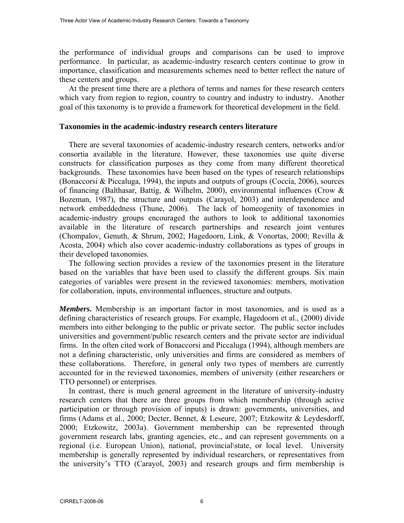the performance of individual groups and comparisons can be used to improve performance. In particular, as academic-industry research centers continue to grow in importance, classification and measurements schemes need to better reflect the nature of these centers and groups.

At the present time there are a plethora of terms and names for these research centers which vary from region to region, country to country and industry to industry. Another goal of this taxonomy is to provide a framework for theoretical development in the field.

## **Taxonomies in the academic-industry research centers literature**

There are several taxonomies of academic-industry research centers, networks and/or consortia available in the literature. However, these taxonomies use quite diverse constructs for classification purposes as they come from many different theoretical backgrounds. These taxonomies have been based on the types of research relationships (Bonaccorsi & Piccaluga, 1994), the inputs and outputs of groups (Coccia, 2006), sources of financing (Balthasar, Battig, & Wilhelm, 2000), environmental influences (Crow & Bozeman, 1987), the structure and outputs (Carayol, 2003) and interdependence and network embeddedness (Thune, 2006). The lack of homeogenity of taxonomies in academic-industry groups encouraged the authors to look to additional taxonomies available in the literature of research partnerships and research joint ventures (Chompalov, Genuth, & Shrum, 2002; Hagedoorn, Link, & Vonortas, 2000; Revilla & Acosta, 2004) which also cover academic-industry collaborations as types of groups in their developed taxonomies.

The following section provides a review of the taxonomies present in the literature based on the variables that have been used to classify the different groups. Six main categories of variables were present in the reviewed taxonomies: members, motivation for collaboration, inputs, environmental influences, structure and outputs.

*Members***.** Membership is an important factor in most taxonomies, and is used as a defining characteristics of research groups. For example, Hagedoorn et al., (2000) divide members into either belonging to the public or private sector. The public sector includes universities and government/public research centers and the private sector are individual firms. In the often cited work of Bonaccorsi and Piccaluga (1994), although members are not a defining characteristic, only universities and firms are considered as members of these collaborations. Therefore, in general only two types of members are currently accounted for in the reviewed taxonomies, members of university (either researchers or TTO personnel) or enterprises.

In contrast, there is much general agreement in the literature of university-industry research centers that there are three groups from which membership (through active participation or through provision of inputs) is drawn: governments, universities, and firms (Adams et al., 2000; Decter, Bennet, & Leseure, 2007; Etzkowitz & Leydesdorff, 2000; Etzkowitz, 2003a). Government membership can be represented through government research labs, granting agencies, etc., and can represent governments on a regional (i.e. European Union), national, provincial\state, or local level. University membership is generally represented by individual researchers, or representatives from the university's TTO (Carayol, 2003) and research groups and firm membership is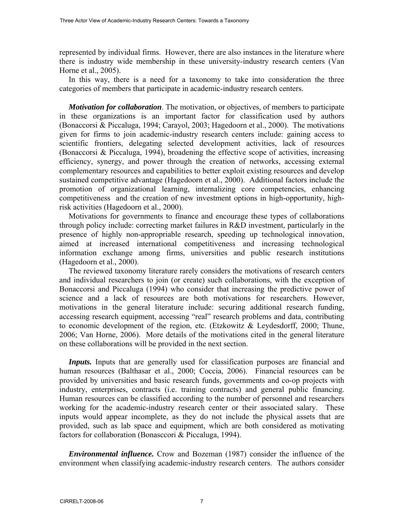represented by individual firms. However, there are also instances in the literature where there is industry wide membership in these university-industry research centers (Van Horne et al., 2005).

In this way, there is a need for a taxonomy to take into consideration the three categories of members that participate in academic-industry research centers.

*Motivation for collaboration*. The motivation, or objectives, of members to participate in these organizations is an important factor for classification used by authors (Bonaccorsi & Piccaluga, 1994; Carayol, 2003; Hagedoorn et al., 2000). The motivations given for firms to join academic-industry research centers include: gaining access to scientific frontiers, delegating selected development activities, lack of resources (Bonaccorsi & Piccaluga, 1994), broadening the effective scope of activities, increasing efficiency, synergy, and power through the creation of networks, accessing external complementary resources and capabilities to better exploit existing resources and develop sustained competitive advantage (Hagedoorn et al., 2000). Additional factors include the promotion of organizational learning, internalizing core competencies, enhancing competitiveness and the creation of new investment options in high-opportunity, highrisk activities (Hagedoorn et al., 2000).

Motivations for governments to finance and encourage these types of collaborations through policy include: correcting market failures in R&D investment, particularly in the presence of highly non-appropriable research, speeding up technological innovation, aimed at increased international competitiveness and increasing technological information exchange among firms, universities and public research institutions (Hagedoorn et al., 2000).

The reviewed taxonomy literature rarely considers the motivations of research centers and individual researchers to join (or create) such collaborations, with the exception of Bonaccorsi and Piccaluga (1994) who consider that increasing the predictive power of science and a lack of resources are both motivations for researchers. However, motivations in the general literature include: securing additional research funding, accessing research equipment, accessing "real" research problems and data, contributing to economic development of the region, etc. (Etzkowitz & Leydesdorff, 2000; Thune, 2006; Van Horne, 2006). More details of the motivations cited in the general literature on these collaborations will be provided in the next section.

*Inputs*. Inputs that are generally used for classification purposes are financial and human resources (Balthasar et al., 2000; Coccia, 2006). Financial resources can be provided by universities and basic research funds, governments and co-op projects with industry, enterprises, contracts (i.e. training contracts) and general public financing. Human resources can be classified according to the number of personnel and researchers working for the academic-industry research center or their associated salary. These inputs would appear incomplete, as they do not include the physical assets that are provided, such as lab space and equipment, which are both considered as motivating factors for collaboration (Bonasccori & Piccaluga, 1994).

*Environmental influence.* Crow and Bozeman (1987) consider the influence of the environment when classifying academic-industry research centers. The authors consider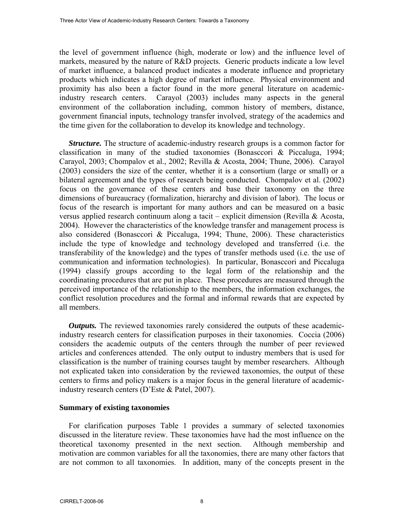the level of government influence (high, moderate or low) and the influence level of markets, measured by the nature of R&D projects. Generic products indicate a low level of market influence, a balanced product indicates a moderate influence and proprietary products which indicates a high degree of market influence. Physical environment and proximity has also been a factor found in the more general literature on academicindustry research centers. Carayol (2003) includes many aspects in the general environment of the collaboration including, common history of members, distance, government financial inputs, technology transfer involved, strategy of the academics and the time given for the collaboration to develop its knowledge and technology.

*Structure.* The structure of academic-industry research groups is a common factor for classification in many of the studied taxonomies (Bonasccori & Piccaluga, 1994; Carayol, 2003; Chompalov et al., 2002; Revilla & Acosta, 2004; Thune, 2006). Carayol (2003) considers the size of the center, whether it is a consortium (large or small) or a bilateral agreement and the types of research being conducted. Chompalov et al. (2002) focus on the governance of these centers and base their taxonomy on the three dimensions of bureaucracy (formalization, hierarchy and division of labor). The locus or focus of the research is important for many authors and can be measured on a basic versus applied research continuum along a tacit – explicit dimension (Revilla & Acosta, 2004). However the characteristics of the knowledge transfer and management process is also considered (Bonasccori & Piccaluga, 1994; Thune, 2006). These characteristics include the type of knowledge and technology developed and transferred (i.e. the transferability of the knowledge) and the types of transfer methods used (i.e. the use of communication and information technologies). In particular, Bonasccori and Piccaluga (1994) classify groups according to the legal form of the relationship and the coordinating procedures that are put in place. These procedures are measured through the perceived importance of the relationship to the members, the information exchanges, the conflict resolution procedures and the formal and informal rewards that are expected by all members.

*Outputs*. The reviewed taxonomies rarely considered the outputs of these academicindustry research centers for classification purposes in their taxonomies. Coccia (2006) considers the academic outputs of the centers through the number of peer reviewed articles and conferences attended. The only output to industry members that is used for classification is the number of training courses taught by member researchers. Although not explicated taken into consideration by the reviewed taxonomies, the output of these centers to firms and policy makers is a major focus in the general literature of academicindustry research centers (D'Este & Patel, 2007).

# **Summary of existing taxonomies**

For clarification purposes Table 1 provides a summary of selected taxonomies discussed in the literature review. These taxonomies have had the most influence on the theoretical taxonomy presented in the next section. Although membership and motivation are common variables for all the taxonomies, there are many other factors that are not common to all taxonomies. In addition, many of the concepts present in the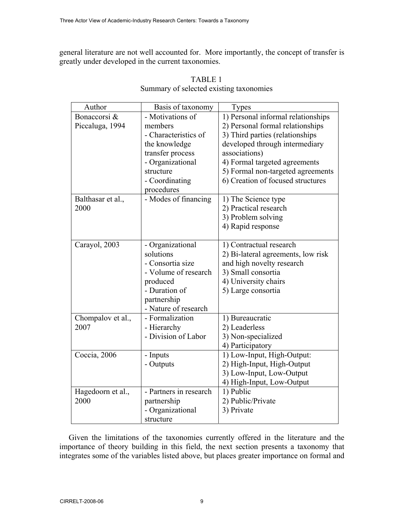general literature are not well accounted for. More importantly, the concept of transfer is greatly under developed in the current taxonomies.

| Author            | Basis of taxonomy      | Types                              |
|-------------------|------------------------|------------------------------------|
| Bonaccorsi &      | - Motivations of       | 1) Personal informal relationships |
| Piccaluga, 1994   | members                | 2) Personal formal relationships   |
|                   | - Characteristics of   | 3) Third parties (relationships    |
|                   | the knowledge          | developed through intermediary     |
|                   | transfer process       | associations)                      |
|                   | - Organizational       | 4) Formal targeted agreements      |
|                   | structure              | 5) Formal non-targeted agreements  |
|                   | - Coordinating         | 6) Creation of focused structures  |
|                   | procedures             |                                    |
| Balthasar et al., | - Modes of financing   | 1) The Science type                |
| 2000              |                        | 2) Practical research              |
|                   |                        | 3) Problem solving                 |
|                   |                        | 4) Rapid response                  |
|                   |                        |                                    |
| Carayol, 2003     | - Organizational       | 1) Contractual research            |
|                   | solutions              | 2) Bi-lateral agreements, low risk |
|                   | - Consortia size       | and high novelty research          |
|                   | - Volume of research   | 3) Small consortia                 |
|                   | produced               | 4) University chairs               |
|                   | - Duration of          | 5) Large consortia                 |
|                   | partnership            |                                    |
|                   | - Nature of research   |                                    |
| Chompalov et al., | - Formalization        | 1) Bureaucratic                    |
| 2007              | - Hierarchy            | 2) Leaderless                      |
|                   | - Division of Labor    | 3) Non-specialized                 |
|                   |                        | 4) Participatory                   |
| Coccia, 2006      | - Inputs               | 1) Low-Input, High-Output:         |
|                   | - Outputs              | 2) High-Input, High-Output         |
|                   |                        | 3) Low-Input, Low-Output           |
|                   |                        | 4) High-Input, Low-Output          |
| Hagedoorn et al., | - Partners in research | 1) Public                          |
| 2000              | partnership            | 2) Public/Private                  |
|                   | - Organizational       | 3) Private                         |
|                   | structure              |                                    |

| <b>TABLE 1</b>                          |
|-----------------------------------------|
| Summary of selected existing taxonomies |

Given the limitations of the taxonomies currently offered in the literature and the importance of theory building in this field, the next section presents a taxonomy that integrates some of the variables listed above, but places greater importance on formal and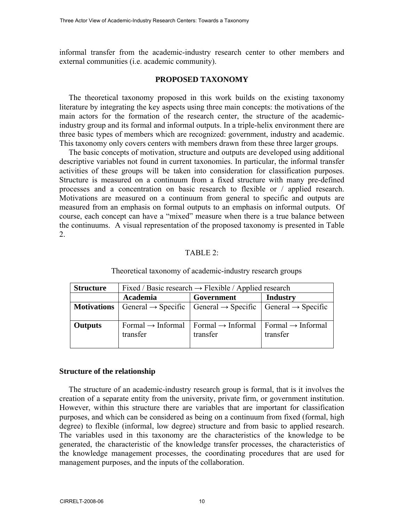informal transfer from the academic-industry research center to other members and external communities (i.e. academic community).

#### **PROPOSED TAXONOMY**

The theoretical taxonomy proposed in this work builds on the existing taxonomy literature by integrating the key aspects using three main concepts: the motivations of the main actors for the formation of the research center, the structure of the academicindustry group and its formal and informal outputs. In a triple-helix environment there are three basic types of members which are recognized: government, industry and academic. This taxonomy only covers centers with members drawn from these three larger groups.

The basic concepts of motivation, structure and outputs are developed using additional descriptive variables not found in current taxonomies. In particular, the informal transfer activities of these groups will be taken into consideration for classification purposes. Structure is measured on a continuum from a fixed structure with many pre-defined processes and a concentration on basic research to flexible or / applied research. Motivations are measured on a continuum from general to specific and outputs are measured from an emphasis on formal outputs to an emphasis on informal outputs. Of course, each concept can have a "mixed" measure when there is a true balance between the continuums. A visual representation of the proposed taxonomy is presented in Table 2.

## TABLE 2:

| <b>Structure</b>   | Fixed / Basic research $\rightarrow$ Flexible / Applied research |                                                                                                  |                                                    |
|--------------------|------------------------------------------------------------------|--------------------------------------------------------------------------------------------------|----------------------------------------------------|
|                    | Academia                                                         | Government                                                                                       | <b>Industry</b>                                    |
| <b>Motivations</b> |                                                                  | General $\rightarrow$ Specific   General $\rightarrow$ Specific   General $\rightarrow$ Specific |                                                    |
| Outputs            | Formal $\rightarrow$ Informal<br>transfer                        | Formal $\rightarrow$ Informal<br>transfer                                                        | $\Gamma$ Formal $\rightarrow$ Informal<br>transfer |

Theoretical taxonomy of academic-industry research groups

#### **Structure of the relationship**

The structure of an academic-industry research group is formal, that is it involves the creation of a separate entity from the university, private firm, or government institution. However, within this structure there are variables that are important for classification purposes, and which can be considered as being on a continuum from fixed (formal, high degree) to flexible (informal, low degree) structure and from basic to applied research. The variables used in this taxonomy are the characteristics of the knowledge to be generated, the characteristic of the knowledge transfer processes, the characteristics of the knowledge management processes, the coordinating procedures that are used for management purposes, and the inputs of the collaboration.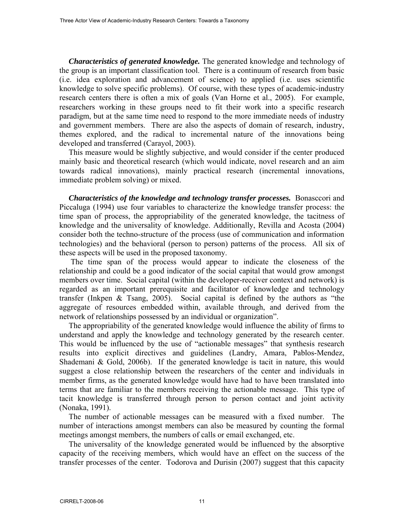*Characteristics of generated knowledge.* The generated knowledge and technology of the group is an important classification tool. There is a continuum of research from basic (i.e. idea exploration and advancement of science) to applied (i.e. uses scientific knowledge to solve specific problems). Of course, with these types of academic-industry research centers there is often a mix of goals (Van Horne et al., 2005). For example, researchers working in these groups need to fit their work into a specific research paradigm, but at the same time need to respond to the more immediate needs of industry and government members. There are also the aspects of domain of research, industry, themes explored, and the radical to incremental nature of the innovations being developed and transferred (Carayol, 2003).

This measure would be slightly subjective, and would consider if the center produced mainly basic and theoretical research (which would indicate, novel research and an aim towards radical innovations), mainly practical research (incremental innovations, immediate problem solving) or mixed.

*Characteristics of the knowledge and technology transfer processes.* **Bonasccori and** Piccaluga (1994) use four variables to characterize the knowledge transfer process: the time span of process, the appropriability of the generated knowledge, the tacitness of knowledge and the universality of knowledge. Additionally, Revilla and Acosta (2004) consider both the techno-structure of the process (use of communication and information technologies) and the behavioral (person to person) patterns of the process. All six of these aspects will be used in the proposed taxonomy.

 The time span of the process would appear to indicate the closeness of the relationship and could be a good indicator of the social capital that would grow amongst members over time. Social capital (within the developer-receiver context and network) is regarded as an important prerequisite and facilitator of knowledge and technology transfer (Inkpen & Tsang, 2005). Social capital is defined by the authors as "the aggregate of resources embedded within, available through, and derived from the network of relationships possessed by an individual or organization".

The appropriability of the generated knowledge would influence the ability of firms to understand and apply the knowledge and technology generated by the research center. This would be influenced by the use of "actionable messages" that synthesis research results into explicit directives and guidelines (Landry, Amara, Pablos-Mendez, Shademani & Gold, 2006b). If the generated knowledge is tacit in nature, this would suggest a close relationship between the researchers of the center and individuals in member firms, as the generated knowledge would have had to have been translated into terms that are familiar to the members receiving the actionable message. This type of tacit knowledge is transferred through person to person contact and joint activity (Nonaka, 1991).

The number of actionable messages can be measured with a fixed number. The number of interactions amongst members can also be measured by counting the formal meetings amongst members, the numbers of calls or email exchanged, etc.

The universality of the knowledge generated would be influenced by the absorptive capacity of the receiving members, which would have an effect on the success of the transfer processes of the center. Todorova and Durisin (2007) suggest that this capacity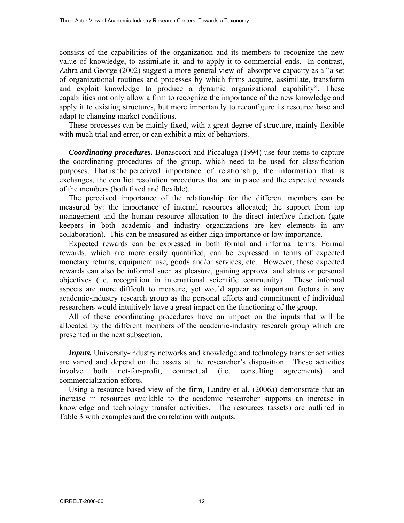consists of the capabilities of the organization and its members to recognize the new value of knowledge, to assimilate it, and to apply it to commercial ends. In contrast, Zahra and George (2002) suggest a more general view of absorptive capacity as a "a set of organizational routines and processes by which firms acquire, assimilate, transform and exploit knowledge to produce a dynamic organizational capability". These capabilities not only allow a firm to recognize the importance of the new knowledge and apply it to existing structures, but more importantly to reconfigure its resource base and adapt to changing market conditions.

These processes can be mainly fixed, with a great degree of structure, mainly flexible with much trial and error, or can exhibit a mix of behaviors.

*Coordinating procedures.* Bonasccori and Piccaluga (1994) use four items to capture the coordinating procedures of the group, which need to be used for classification purposes. That is the perceived importance of relationship, the information that is exchanges, the conflict resolution procedures that are in place and the expected rewards of the members (both fixed and flexible).

The perceived importance of the relationship for the different members can be measured by: the importance of internal resources allocated; the support from top management and the human resource allocation to the direct interface function (gate keepers in both academic and industry organizations are key elements in any collaboration). This can be measured as either high importance or low importance.

Expected rewards can be expressed in both formal and informal terms. Formal rewards, which are more easily quantified, can be expressed in terms of expected monetary returns, equipment use, goods and/or services, etc. However, these expected rewards can also be informal such as pleasure, gaining approval and status or personal objectives (i.e. recognition in international scientific community). These informal aspects are more difficult to measure, yet would appear as important factors in any academic-industry research group as the personal efforts and commitment of individual researchers would intuitively have a great impact on the functioning of the group.

All of these coordinating procedures have an impact on the inputs that will be allocated by the different members of the academic-industry research group which are presented in the next subsection.

*Inputs*. University-industry networks and knowledge and technology transfer activities are varied and depend on the assets at the researcher's disposition. These activities involve both not-for-profit, contractual (i.e. consulting agreements) and commercialization efforts.

Using a resource based view of the firm, Landry et al. (2006a) demonstrate that an increase in resources available to the academic researcher supports an increase in knowledge and technology transfer activities. The resources (assets) are outlined in Table 3 with examples and the correlation with outputs.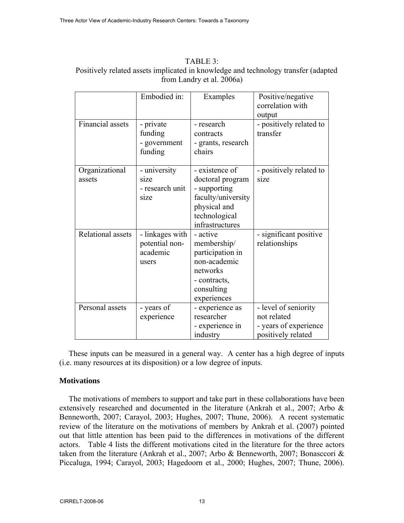| $TABLE 3+$                                                                         |
|------------------------------------------------------------------------------------|
| Positively related assets implicated in knowledge and technology transfer (adapted |
| from Landry et al. 2006a)                                                          |

|                          | Embodied in:                                                 | Examples                                                                                                                     | Positive/negative<br>correlation with<br>output                                    |
|--------------------------|--------------------------------------------------------------|------------------------------------------------------------------------------------------------------------------------------|------------------------------------------------------------------------------------|
| Financial assets         | - private<br>funding<br>- government<br>funding              | - research<br>contracts<br>- grants, research<br>chairs                                                                      | - positively related to<br>transfer                                                |
| Organizational<br>assets | - university<br>size<br>- research unit<br>s <sub>1</sub> ze | - existence of<br>doctoral program<br>- supporting<br>faculty/university<br>physical and<br>technological<br>infrastructures | - positively related to<br>size                                                    |
| Relational assets        | - linkages with<br>potential non-<br>academic<br>users       | - active<br>membership/<br>participation in<br>non-academic<br>networks<br>- contracts,<br>consulting<br>experiences         | - significant positive<br>relationships                                            |
| Personal assets          | - years of<br>experience                                     | - experience as<br>researcher<br>- experience in<br>industry                                                                 | - level of seniority<br>not related<br>- years of experience<br>positively related |

These inputs can be measured in a general way. A center has a high degree of inputs (i.e. many resources at its disposition) or a low degree of inputs.

# **Motivations**

The motivations of members to support and take part in these collaborations have been extensively researched and documented in the literature (Ankrah et al., 2007; Arbo & Benneworth, 2007; Carayol, 2003; Hughes, 2007; Thune, 2006). A recent systematic review of the literature on the motivations of members by Ankrah et al. (2007) pointed out that little attention has been paid to the differences in motivations of the different actors. Table 4 lists the different motivations cited in the literature for the three actors taken from the literature (Ankrah et al., 2007; Arbo & Benneworth, 2007; Bonasccori & Piccaluga, 1994; Carayol, 2003; Hagedoorn et al., 2000; Hughes, 2007; Thune, 2006).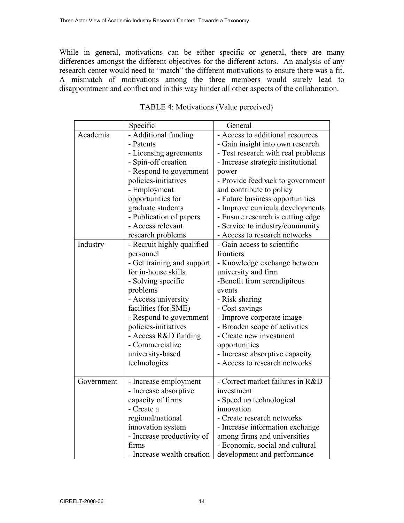While in general, motivations can be either specific or general, there are many differences amongst the different objectives for the different actors. An analysis of any research center would need to "match" the different motivations to ensure there was a fit. A mismatch of motivations among the three members would surely lead to disappointment and conflict and in this way hinder all other aspects of the collaboration.

|            | Specific                   | General                            |  |
|------------|----------------------------|------------------------------------|--|
| Academia   | - Additional funding       | - Access to additional resources   |  |
|            | - Patents                  | - Gain insight into own research   |  |
|            | - Licensing agreements     | - Test research with real problems |  |
|            | - Spin-off creation        | - Increase strategic institutional |  |
|            | - Respond to government    | power                              |  |
|            | policies-initiatives       | - Provide feedback to government   |  |
|            | - Employment               | and contribute to policy           |  |
|            | opportunities for          | - Future business opportunities    |  |
|            | graduate students          | - Improve curricula developments   |  |
|            | - Publication of papers    | - Ensure research is cutting edge  |  |
|            | - Access relevant          | - Service to industry/community    |  |
|            | research problems          | - Access to research networks      |  |
| Industry   | - Recruit highly qualified | - Gain access to scientific        |  |
|            | personnel                  | frontiers                          |  |
|            | - Get training and support | - Knowledge exchange between       |  |
|            | for in-house skills        | university and firm                |  |
|            | - Solving specific         | -Benefit from serendipitous        |  |
|            | problems                   | events                             |  |
|            | - Access university        | - Risk sharing                     |  |
|            | facilities (for SME)       | - Cost savings                     |  |
|            | - Respond to government    | - Improve corporate image          |  |
|            | policies-initiatives       | - Broaden scope of activities      |  |
|            | - Access R&D funding       | - Create new investment            |  |
|            | - Commercialize            | opportunities                      |  |
|            | university-based           | - Increase absorptive capacity     |  |
|            | technologies               | - Access to research networks      |  |
|            |                            |                                    |  |
| Government | - Increase employment      | - Correct market failures in R&D   |  |
|            | - Increase absorptive      | investment                         |  |
|            | capacity of firms          | - Speed up technological           |  |
|            | - Create a                 | innovation                         |  |
|            | regional/national          | - Create research networks         |  |
|            | innovation system          | - Increase information exchange    |  |
|            | - Increase productivity of | among firms and universities       |  |
|            | firms                      | - Economic, social and cultural    |  |
|            | - Increase wealth creation | development and performance        |  |

| TABLE 4: Motivations (Value perceived) |  |  |
|----------------------------------------|--|--|
|----------------------------------------|--|--|

 $\Gamma$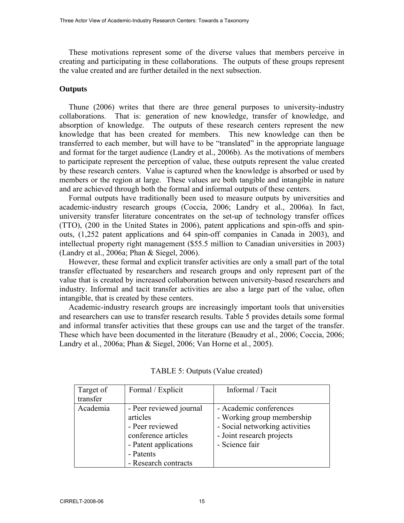These motivations represent some of the diverse values that members perceive in creating and participating in these collaborations. The outputs of these groups represent the value created and are further detailed in the next subsection.

#### **Outputs**

Thune (2006) writes that there are three general purposes to university-industry collaborations. That is: generation of new knowledge, transfer of knowledge, and absorption of knowledge. The outputs of these research centers represent the new knowledge that has been created for members. This new knowledge can then be transferred to each member, but will have to be "translated" in the appropriate language and format for the target audience (Landry et al., 2006b). As the motivations of members to participate represent the perception of value, these outputs represent the value created by these research centers. Value is captured when the knowledge is absorbed or used by members or the region at large. These values are both tangible and intangible in nature and are achieved through both the formal and informal outputs of these centers.

Formal outputs have traditionally been used to measure outputs by universities and academic-industry research groups (Coccia, 2006; Landry et al., 2006a). In fact, university transfer literature concentrates on the set-up of technology transfer offices (TTO), (200 in the United States in 2006), patent applications and spin-offs and spinouts, (1,252 patent applications and 64 spin-off companies in Canada in 2003), and intellectual property right management (\$55.5 million to Canadian universities in 2003) (Landry et al., 2006a; Phan & Siegel, 2006).

However, these formal and explicit transfer activities are only a small part of the total transfer effectuated by researchers and research groups and only represent part of the value that is created by increased collaboration between university-based researchers and industry. Informal and tacit transfer activities are also a large part of the value, often intangible, that is created by these centers.

Academic-industry research groups are increasingly important tools that universities and researchers can use to transfer research results. Table 5 provides details some formal and informal transfer activities that these groups can use and the target of the transfer. These which have been documented in the literature (Beaudry et al., 2006; Coccia, 2006; Landry et al., 2006a; Phan & Siegel, 2006; Van Horne et al., 2005).

| Target of<br>transfer | Formal / Explicit                                                                                                                           | Informal / Tacit                                                                                                                      |
|-----------------------|---------------------------------------------------------------------------------------------------------------------------------------------|---------------------------------------------------------------------------------------------------------------------------------------|
| Academia              | - Peer reviewed journal<br>articles<br>- Peer reviewed<br>conference articles<br>- Patent applications<br>- Patents<br>- Research contracts | - Academic conferences<br>- Working group membership<br>- Social networking activities<br>- Joint research projects<br>- Science fair |

TABLE 5: Outputs (Value created)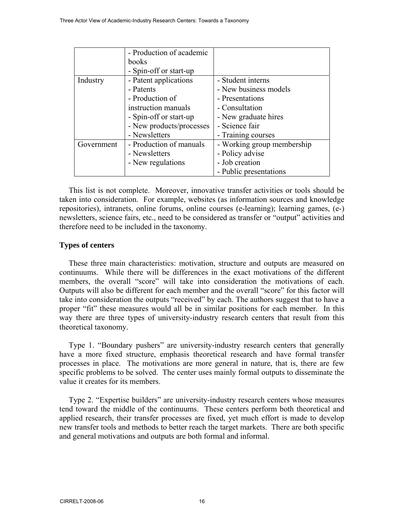|            | - Production of academic |                            |
|------------|--------------------------|----------------------------|
|            | books                    |                            |
|            | - Spin-off or start-up   |                            |
| Industry   | - Patent applications    | - Student interns          |
|            | - Patents                | - New business models      |
|            | - Production of          | - Presentations            |
|            | instruction manuals      | - Consultation             |
|            | - Spin-off or start-up   | - New graduate hires       |
|            | - New products/processes | - Science fair             |
|            | - Newsletters            | - Training courses         |
| Government | - Production of manuals  | - Working group membership |
|            | - Newsletters            | - Policy advise            |
|            | - New regulations        | - Job creation             |
|            |                          | - Public presentations     |

This list is not complete. Moreover, innovative transfer activities or tools should be taken into consideration. For example, websites (as information sources and knowledge repositories), intranets, online forums, online courses (e-learning); learning games, (e-) newsletters, science fairs, etc., need to be considered as transfer or "output" activities and therefore need to be included in the taxonomy.

# **Types of centers**

These three main characteristics: motivation, structure and outputs are measured on continuums. While there will be differences in the exact motivations of the different members, the overall "score" will take into consideration the motivations of each. Outputs will also be different for each member and the overall "score" for this factor will take into consideration the outputs "received" by each. The authors suggest that to have a proper "fit" these measures would all be in similar positions for each member. In this way there are three types of university-industry research centers that result from this theoretical taxonomy.

Type 1. "Boundary pushers" are university-industry research centers that generally have a more fixed structure, emphasis theoretical research and have formal transfer processes in place. The motivations are more general in nature, that is, there are few specific problems to be solved. The center uses mainly formal outputs to disseminate the value it creates for its members.

Type 2. "Expertise builders" are university-industry research centers whose measures tend toward the middle of the continuums. These centers perform both theoretical and applied research, their transfer processes are fixed, yet much effort is made to develop new transfer tools and methods to better reach the target markets. There are both specific and general motivations and outputs are both formal and informal.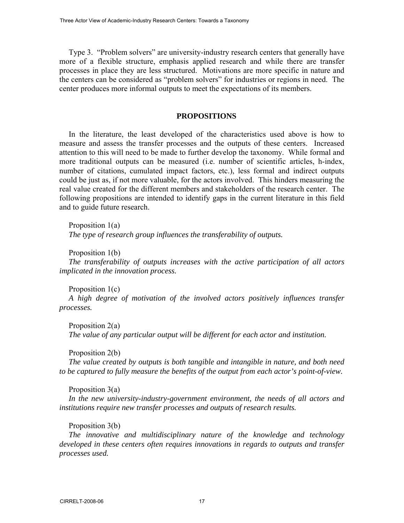Type 3. "Problem solvers" are university-industry research centers that generally have more of a flexible structure, emphasis applied research and while there are transfer processes in place they are less structured. Motivations are more specific in nature and the centers can be considered as "problem solvers" for industries or regions in need. The center produces more informal outputs to meet the expectations of its members.

# **PROPOSITIONS**

In the literature, the least developed of the characteristics used above is how to measure and assess the transfer processes and the outputs of these centers. Increased attention to this will need to be made to further develop the taxonomy. While formal and more traditional outputs can be measured (i.e. number of scientific articles, h-index, number of citations, cumulated impact factors, etc.), less formal and indirect outputs could be just as, if not more valuable, for the actors involved. This hinders measuring the real value created for the different members and stakeholders of the research center. The following propositions are intended to identify gaps in the current literature in this field and to guide future research.

Proposition 1(a) *The type of research group influences the transferability of outputs.* 

Proposition 1(b)

*The transferability of outputs increases with the active participation of all actors implicated in the innovation process.* 

Proposition 1(c)

*A high degree of motivation of the involved actors positively influences transfer processes.* 

Proposition 2(a) *The value of any particular output will be different for each actor and institution.* 

Proposition 2(b)

*The value created by outputs is both tangible and intangible in nature, and both need to be captured to fully measure the benefits of the output from each actor's point-of-view.* 

Proposition 3(a)

*In the new university-industry-government environment, the needs of all actors and institutions require new transfer processes and outputs of research results.* 

Proposition 3(b)

*The innovative and multidisciplinary nature of the knowledge and technology developed in these centers often requires innovations in regards to outputs and transfer processes used.*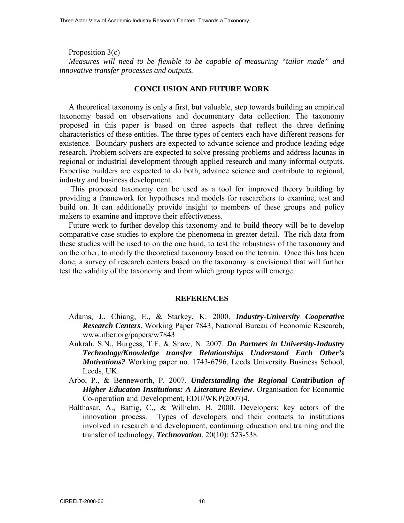Proposition 3(c) *Measures will need to be flexible to be capable of measuring "tailor made" and innovative transfer processes and outputs.* 

#### **CONCLUSION AND FUTURE WORK**

A theoretical taxonomy is only a first, but valuable, step towards building an empirical taxonomy based on observations and documentary data collection. The taxonomy proposed in this paper is based on three aspects that reflect the three defining characteristics of these entities. The three types of centers each have different reasons for existence. Boundary pushers are expected to advance science and produce leading edge research. Problem solvers are expected to solve pressing problems and address lacunas in regional or industrial development through applied research and many informal outputs. Expertise builders are expected to do both, advance science and contribute to regional, industry and business development.

 This proposed taxonomy can be used as a tool for improved theory building by providing a framework for hypotheses and models for researchers to examine, test and build on. It can additionally provide insight to members of these groups and policy makers to examine and improve their effectiveness.

Future work to further develop this taxonomy and to build theory will be to develop comparative case studies to explore the phenomena in greater detail. The rich data from these studies will be used to on the one hand, to test the robustness of the taxonomy and on the other, to modify the theoretical taxonomy based on the terrain. Once this has been done, a survey of research centers based on the taxonomy is envisioned that will further test the validity of the taxonomy and from which group types will emerge.

#### **REFERENCES**

- Adams, J., Chiang, E., & Starkey, K. 2000. *Industry-University Cooperative Research Centers*. Working Paper 7843, National Bureau of Economic Research, www.nber.org/papers/w7843
- Ankrah, S.N., Burgess, T.F. & Shaw, N. 2007. *Do Partners in University-Industry Technology/Knowledge transfer Relationships Understand Each Other's Motivations?* Working paper no. 1743-6796, Leeds University Business School, Leeds, UK.
- Arbo, P., & Benneworth, P. 2007. *Understanding the Regional Contribution of Higher Educaton Institutions: A Literature Review*. Organisation for Economic Co-operation and Development, EDU/WKP(2007)4.
- Balthasar, A., Battig, C., & Wilhelm, B. 2000. Developers: key actors of the innovation process. Types of developers and their contacts to institutions involved in research and development, continuing education and training and the transfer of technology, *Technovation*, 20(10): 523-538.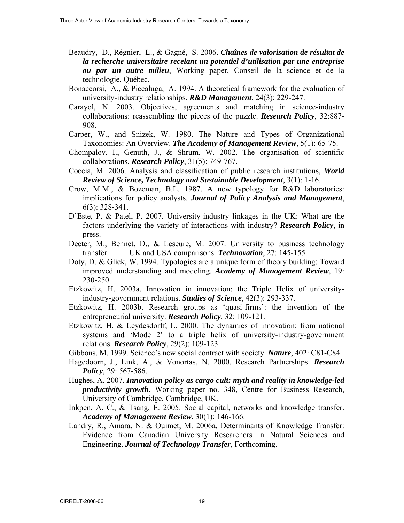- Beaudry, D., Régnier, L., & Gagné, S. 2006. *Chaînes de valorisation de résultat de la recherche universitaire recelant un potentiel d'utilisation par une entreprise ou par un autre milieu*, Working paper, Conseil de la science et de la technologie, Québec.
- Bonaccorsi, A., & Piccaluga, A. 1994. A theoretical framework for the evaluation of university-industry relationships. *R&D Management*, 24(3): 229-247.
- Carayol, N. 2003. Objectives, agreements and matching in science-industry collaborations: reassembling the pieces of the puzzle. *Research Policy*, 32:887- 908.
- Carper, W., and Snizek, W. 1980. The Nature and Types of Organizational Taxonomies: An Overview. *The Academy of Management Review*, 5(1): 65-75.
- Chompalov, I., Genuth, J., & Shrum, W. 2002. The organisation of scientific collaborations. *Research Policy*, 31(5): 749-767.
- Coccia, M. 2006. Analysis and classification of public research institutions, *World Review of Science, Technology and Sustainable Development*, 3(1): 1-16.
- Crow, M.M., & Bozeman, B.L. 1987. A new typology for R&D laboratories: implications for policy analysts. *Journal of Policy Analysis and Management*, 6(3): 328-341.
- D'Este, P. & Patel, P. 2007. University-industry linkages in the UK: What are the factors underlying the variety of interactions with industry? *Research Policy*, in press.
- Decter, M., Bennet, D., & Leseure, M. 2007. University to business technology transfer – UK and USA comparisons. *Technovation*, 27: 145-155.
- Doty, D. & Glick, W. 1994. Typologies are a unique form of theory building: Toward improved understanding and modeling. *Academy of Management Review*, 19: 230-250.
- Etzkowitz, H. 2003a. Innovation in innovation: the Triple Helix of university industry-government relations. *Studies of Science*, 42(3): 293-337.
- Etzkowitz, H. 2003b. Research groups as 'quasi-firms': the invention of the entrepreneurial university. *Research Policy*, 32: 109-121.
- Etzkowitz, H. & Leydesdorff, L. 2000. The dynamics of innovation: from national systems and 'Mode 2' to a triple helix of university-industry-government relations. *Research Policy*, 29(2): 109-123.
- Gibbons, M. 1999. Science's new social contract with society. *Nature*, 402: C81-C84.
- Hagedoorn, J., Link, A., & Vonortas, N. 2000. Research Partnerships. *Research Policy*, 29: 567-586.
- Hughes, A. 2007. *Innovation policy as cargo cult: myth and reality in knowledge-led productivity growth*. Working paper no. 348, Centre for Business Research, University of Cambridge, Cambridge, UK.
- Inkpen, A. C., & Tsang, E. 2005. Social capital, networks and knowledge transfer. *Academy of Management Review*, 30(1): 146-166.
- Landry, R., Amara, N. & Ouimet, M. 2006a. Determinants of Knowledge Transfer: Evidence from Canadian University Researchers in Natural Sciences and Engineering. *Journal of Technology Transfer*, Forthcoming.